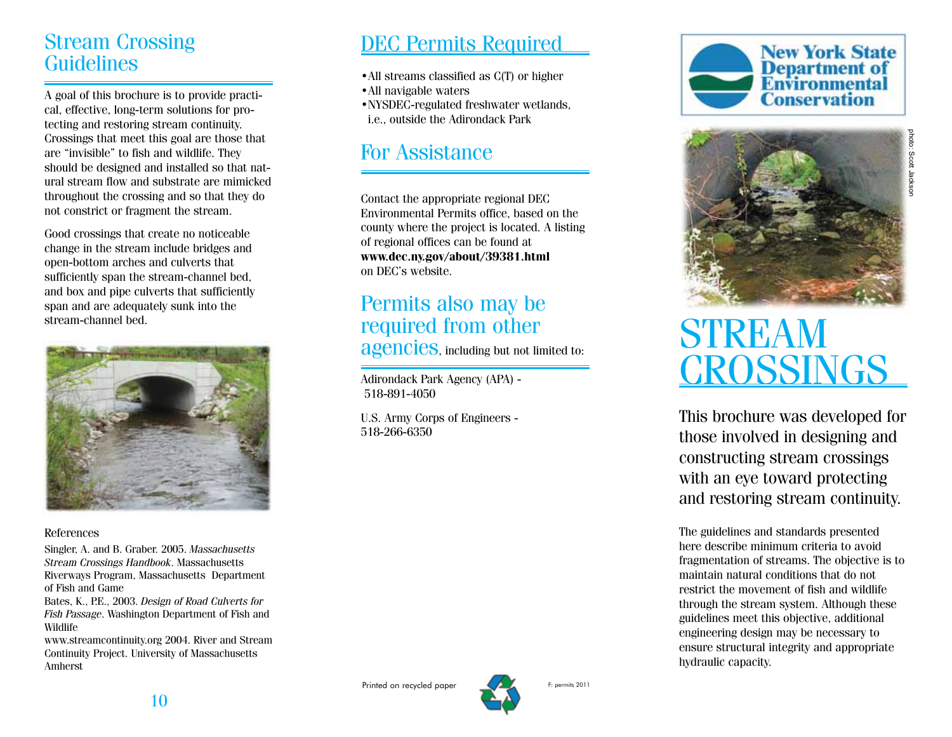## Stream Crossing Guidelines

A goal of this brochure is to provide practi cal, effective, long-term solutions for pro tecting and restoring stream continuity. Crossings that meet this goal are those that are "invisible" to fish and wildlife. They should be designed and installed so that nat ural stream flow and substrate are mimicked throughout the crossing and so that they do not constrict or fragment the stream.

Good crossings that create no noticeable change in the stream include bridges and open-bottom arches and culverts that sufficiently span the stream-channel bed, and box and pipe culverts that sufficiently span and are adequately sunk into the stream-channel bed.



#### References

Singler, A. and B. Graber. 2005. *Massachusetts Stream Crossings Handbook*. Massachusetts Riverways Program, Massachusetts Department of Fish and Game

Bates, K., P.E., 2003. *Design of Road Culverts for Fish Passage*. Washington Department of Fish and Wildlife

www.streamcontinuity.org 2004. River and Stream Continuity Project. University of Massachusetts Amherst

# DEC Permits Required

- •All streams classified as C(T) or higher
- 
- •All navigable waters •NYSDEC-regulated freshwater wetlands, i.e., outside the Adirondack Park

# For Assistance

Contact the appropriate regional DEC Environmental Permits office, based on the county where the project is located. A listing of regional offices can be found at **www.dec.ny.gov/about/39381.html** on DEC's website.

# Permits also may be required from other

agencies, including but not limited to:

Adirondack Park Agency (APA) - 518-891-4050

U.S. Army Corps of Engineers - 518-266-6350





# STREAM CROSSINGS

This brochure was developed for those involved in designing and constructing stream crossings with an eye toward protecting and restoring stream continuity.

The guidelines and standards presented here describe minimum criteria to avoid fragmentation of streams. The objective is to maintain natural conditions that do not restrict the movement of fish and wildlife through the stream system. Although these guidelines meet this objective, additional engineering design may be necessary to ensure structural integrity and appropriate hydraulic capacity.

Printed on recycled paper F: permits 2011

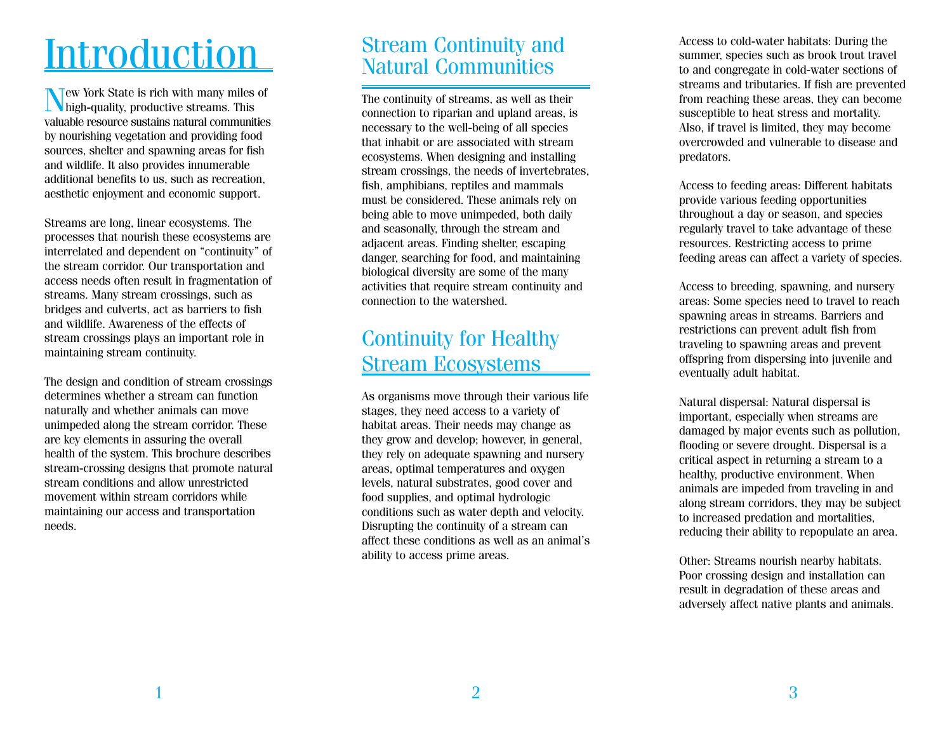# **Introduction**

Tew York State is rich with many miles of high-quality, productive streams. This valuable resource sustains natural communities by nourishing vegetation and providing food sources, shelter and spawning areas for fish and wildlife. It also provides innumerable additional benefits to us, such as recreation, aesthetic enjoyment and economic support.

Streams are long, linear ecosystems. The processes that nourish these ecosystems are interrelated and dependent on "continuity" of the stream corridor. Our transportation and access needs often result in fragmentation of streams. Many stream crossings, such as bridges and culverts, act as barriers to fish and wildlife. Awareness of the effects of stream crossings plays an important role in maintaining stream continuity.

The design and condition of stream crossings determines whether a stream can function naturally and whether animals can move unimpeded along the stream corridor. These are key elements in assuring the overall health of the system. This brochure describes stream-crossing designs that promote natural stream conditions and allow unrestricted movement within stream corridors while maintaining our access and transportation needs.

## Stream Continuity and Natural Communities

The continuity of streams, as well as their connection to riparian and upland areas, is necessary to the well-being of all species that inhabit or are associated with stream ecosystems. When designing and installing stream crossings, the needs of invertebrates, fish, amphibians, reptiles and mammals must be considered. These animals rely on being able to move unimpeded, both daily and seasonally, through the stream and adjacent areas. Finding shelter, escaping danger, searching for food, and maintaining biological diversity are some of the many activities that require stream continuity and connection to the watershed.

# Continuity for Healthy Stream Ecosystems

As organisms move through their various life stages, they need access to a variety of habitat areas. Their needs may change as they grow and develop; however, in general, they rely on adequate spawning and nursery areas, optimal temperatures and oxygen levels, natural substrates, good cover and food supplies, and optimal hydrologic conditions such as water depth and velocity. Disrupting the continuity of a stream can affect these conditions as well as an animal's ability to access prime areas.

Access to cold-water habitats: During the summer, species such as brook trout travel to and congregate in cold-water sections of streams and tributaries. If fish are prevented from reaching these areas, they can become susceptible to heat stress and mortality. Also, if travel is limited, they may become overcrowded and vulnerable to disease and predators.

Access to feeding areas: Different habitats provide various feeding opportunities throughout a day or season, and species regularly travel to take advantage of these resources. Restricting access to prime feeding areas can affect a variety of species.

Access to breeding, spawning, and nursery areas: Some species need to travel to reach spawning areas in streams. Barriers and restrictions can prevent adult fish from traveling to spawning areas and prevent offspring from dispersing into juvenile and eventually adult habitat.

Natural dispersal: Natural dispersal is important, especially when streams are damaged by major events such as pollution, flooding or severe drought. Dispersal is a critical aspect in returning a stream to a healthy, productive environment. When animals are impeded from traveling in and along stream corridors, they may be subject to increased predation and mortalities, reducing their ability to repopulate an area.

Other: Streams nourish nearby habitats. Poor crossing design and installation can result in degradation of these areas and adversely affect native plants and animals.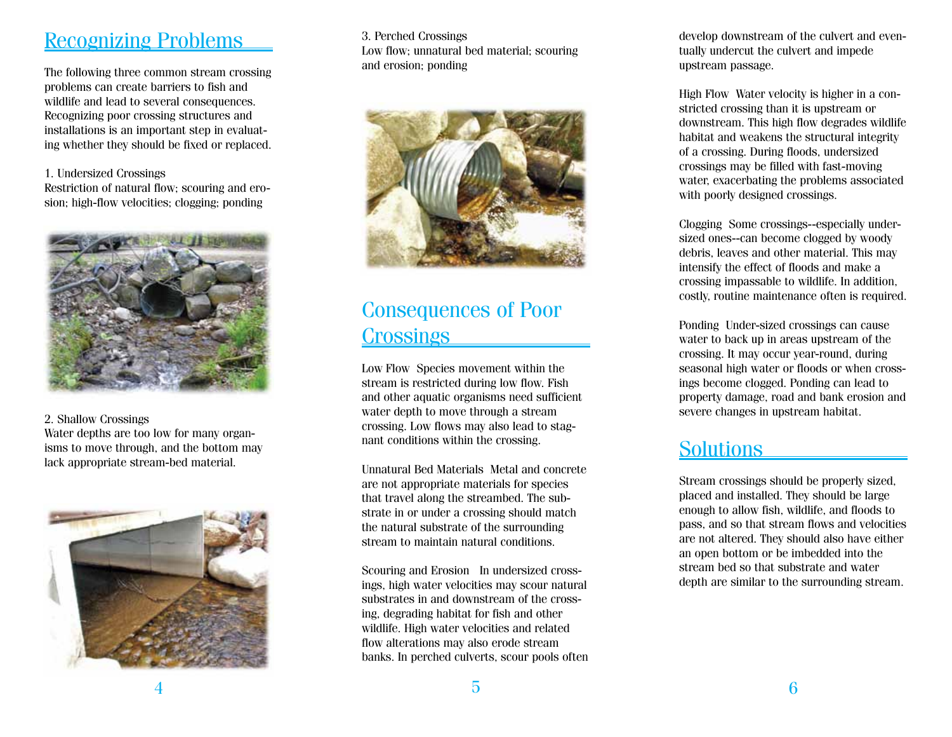### Recognizing Problems

The following three common stream crossing problems can create barriers to fish and wildlife and lead to several consequences. Recognizing poor crossing structures and installations is an important step in evaluat ing whether they should be fixed or replaced.

#### 1. Undersized Crossings

Restriction of natural flow; scouring and ero sion; high-flow velocities; clogging; ponding



2. Shallow Crossings Water depths are too low for many organ isms to move through, and the bottom may lack appropriate stream-bed material.



3. Perched Crossings Low flow; unnatural bed material; scouring and erosion; ponding



# Consequences of Poor **Crossings**

Low Flow Species movement within the stream is restricted during low flow. Fish and other aquatic organisms need sufficient water depth to move through a stream crossing. Low flows may also lead to stag nant conditions within the crossing.

Unnatural Bed Materials Metal and concrete are not appropriate materials for species that travel along the streambed. The sub strate in or under a crossing should match the natural substrate of the surrounding stream to maintain natural conditions.

Scouring and Erosion In undersized cross ings, high water velocities may scour natural substrates in and downstream of the cross ing, degrading habitat for fish and other wildlife. High water velocities and related flow alterations may also erode stream banks. In perched culverts, scour pools often

5

develop downstream of the culvert and even tually undercut the culvert and impede upstream passage.

High Flow Water velocity is higher in a con stricted crossing than it is upstream or downstream. This high flow degrades wildlife habitat and weakens the structural integrity of a crossing. During floods, undersized crossings may be filled with fast-moving water, exacerbating the problems associated with poorly designed crossings.

Clogging Some crossings--especially undersized ones--can become clogged by woody debris, leaves and other material. This may intensify the effect of floods and make a crossing impassable to wildlife. In addition, costly, routine maintenance often is required.

Ponding Under-sized crossings can cause water to back up in areas upstream of the crossing. It may occur year-round, during seasonal high water or floods or when cross ings become clogged. Ponding can lead to property damage, road and bank erosion and severe changes in upstream habitat.

## **Solutions**

Stream crossings should be properly sized, placed and installed. They should be large enough to allow fish, wildlife, and floods to pass, and so that stream flows and velocities are not altered. They should also have either an open bottom or be imbedded into the stream bed so that substrate and water depth are similar to the surrounding stream.